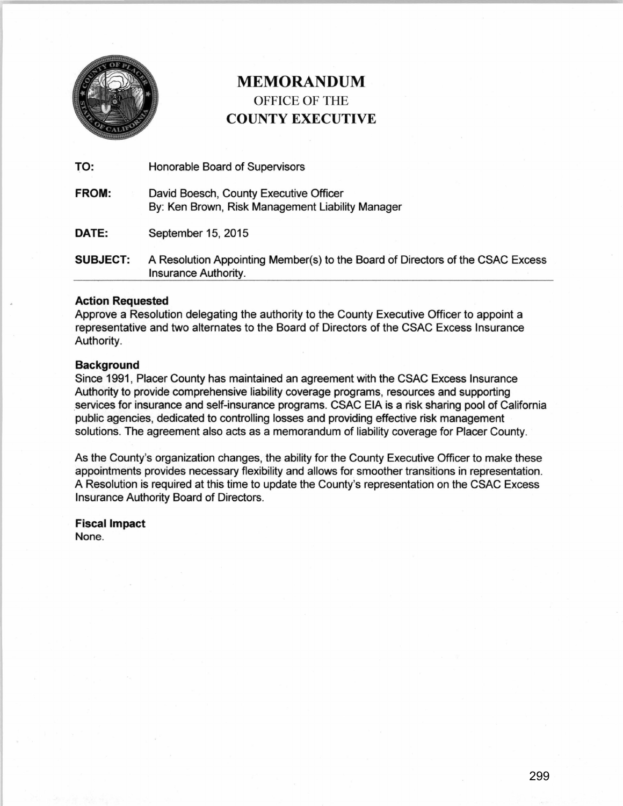

## MEMORANDUM OFFICE OF THE COUNTY EXECUTIVE

| TO:             | Honorable Board of Supervisors                                                                         |
|-----------------|--------------------------------------------------------------------------------------------------------|
| FROM:           | David Boesch, County Executive Officer<br>By: Ken Brown, Risk Management Liability Manager             |
| DATE:           | September 15, 2015                                                                                     |
| <b>SUBJECT:</b> | A Resolution Appointing Member(s) to the Board of Directors of the CSAC Excess<br>Insurance Authority. |

### Action Requested

Approve a Resolution delegating the authority to the County Executive Officer to appoint a representative and two alternates to the Board of Directors of the CSAC Excess Insurance Authority.

#### Background

Since 1991, Placer County has maintained an agreement with the CSAC Excess Insurance Authority to provide comprehensive liability coverage programs, resources and supporting services for insurance and self-insurance programs. CSAC EIA is a risk sharing pool of California public agencies, dedicated to controlling losses and providing effective risk management solutions. The agreement also acts as a memorandum of liability coverage for Placer County.

As the County's organization changes, the ability for the County Executive Officer to make these appointments provides necessary flexibility and allows for smoother transitions in representation. A Resolution is required at this time to update the County's representation on the CSAC Excess Insurance Authority Board of Directors.

Fiscal Impact None.